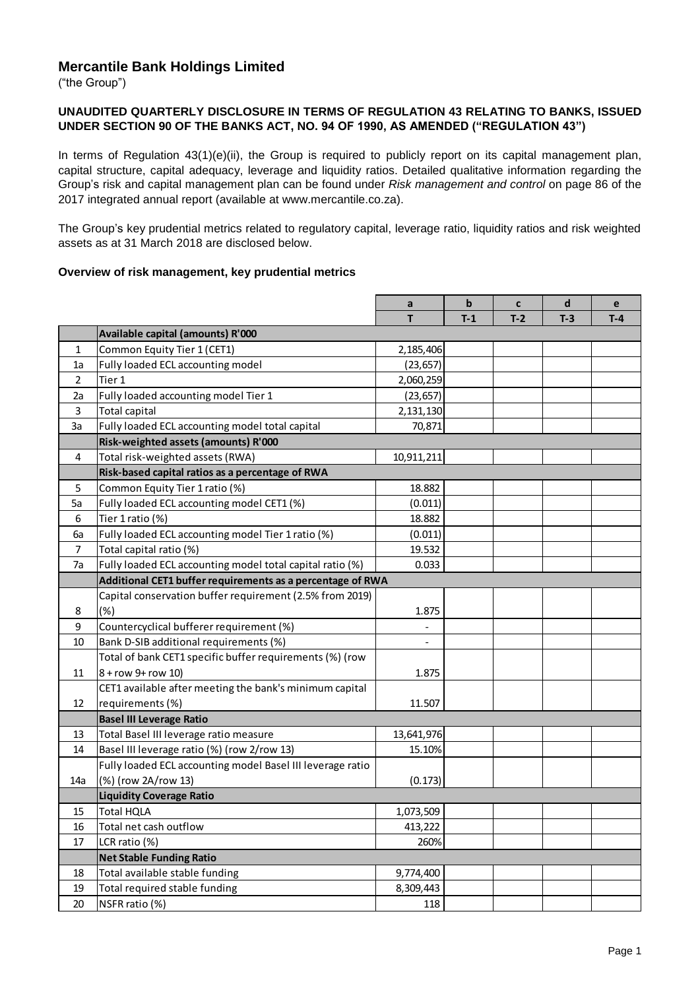# **Mercantile Bank Holdings Limited**

("the Group")

### **UNAUDITED QUARTERLY DISCLOSURE IN TERMS OF REGULATION 43 RELATING TO BANKS, ISSUED UNDER SECTION 90 OF THE BANKS ACT, NO. 94 OF 1990, AS AMENDED ("REGULATION 43")**

In terms of Regulation 43(1)(e)(ii), the Group is required to publicly report on its capital management plan, capital structure, capital adequacy, leverage and liquidity ratios. Detailed qualitative information regarding the Group's risk and capital management plan can be found under *Risk management and control* on page 86 of the 2017 integrated annual report (available at www.mercantile.co.za).

The Group's key prudential metrics related to regulatory capital, leverage ratio, liquidity ratios and risk weighted assets as at 31 March 2018 are disclosed below.

#### **Overview of risk management, key prudential metrics**

|     |                                                            | a                        | $\mathbf b$ | C     | $\operatorname{\mathsf{d}}$ | e     |
|-----|------------------------------------------------------------|--------------------------|-------------|-------|-----------------------------|-------|
|     |                                                            | T                        | $T-1$       | $T-2$ | $T-3$                       | $T-4$ |
|     | Available capital (amounts) R'000                          |                          |             |       |                             |       |
| 1   | Common Equity Tier 1 (CET1)                                | 2,185,406                |             |       |                             |       |
| 1a  | Fully loaded ECL accounting model                          | (23, 657)                |             |       |                             |       |
| 2   | Tier 1                                                     | 2,060,259                |             |       |                             |       |
| 2a  | Fully loaded accounting model Tier 1                       | (23, 657)                |             |       |                             |       |
| 3   | <b>Total capital</b>                                       | 2,131,130                |             |       |                             |       |
| 3a  | Fully loaded ECL accounting model total capital            | 70,871                   |             |       |                             |       |
|     | Risk-weighted assets (amounts) R'000                       |                          |             |       |                             |       |
| 4   | Total risk-weighted assets (RWA)                           | 10,911,211               |             |       |                             |       |
|     | Risk-based capital ratios as a percentage of RWA           |                          |             |       |                             |       |
| 5   | Common Equity Tier 1 ratio (%)                             | 18.882                   |             |       |                             |       |
| 5a  | Fully loaded ECL accounting model CET1 (%)                 | (0.011)                  |             |       |                             |       |
| 6   | Tier 1 ratio (%)                                           | 18.882                   |             |       |                             |       |
| 6a  | Fully loaded ECL accounting model Tier 1 ratio (%)         | (0.011)                  |             |       |                             |       |
| 7   | Total capital ratio (%)                                    | 19.532                   |             |       |                             |       |
| 7a  | Fully loaded ECL accounting model total capital ratio (%)  | 0.033                    |             |       |                             |       |
|     | Additional CET1 buffer requirements as a percentage of RWA |                          |             |       |                             |       |
|     | Capital conservation buffer requirement (2.5% from 2019)   |                          |             |       |                             |       |
| 8   | (% )                                                       | 1.875                    |             |       |                             |       |
| 9   | Countercyclical bufferer requirement (%)                   |                          |             |       |                             |       |
| 10  | Bank D-SIB additional requirements (%)                     | $\overline{\phantom{0}}$ |             |       |                             |       |
|     | Total of bank CET1 specific buffer requirements (%) (row   |                          |             |       |                             |       |
| 11  | 8 + row 9+ row 10)                                         | 1.875                    |             |       |                             |       |
|     | CET1 available after meeting the bank's minimum capital    |                          |             |       |                             |       |
| 12  | requirements (%)                                           | 11.507                   |             |       |                             |       |
|     | <b>Basel III Leverage Ratio</b>                            |                          |             |       |                             |       |
| 13  | Total Basel III leverage ratio measure                     | 13,641,976               |             |       |                             |       |
| 14  | Basel III leverage ratio (%) (row 2/row 13)                | 15.10%                   |             |       |                             |       |
|     | Fully loaded ECL accounting model Basel III leverage ratio |                          |             |       |                             |       |
| 14a | (%) (row 2A/row 13)                                        | (0.173)                  |             |       |                             |       |
|     | <b>Liquidity Coverage Ratio</b>                            |                          |             |       |                             |       |
| 15  | <b>Total HQLA</b>                                          | 1,073,509                |             |       |                             |       |
| 16  | Total net cash outflow                                     | 413,222                  |             |       |                             |       |
| 17  | LCR ratio (%)                                              | 260%                     |             |       |                             |       |
|     | <b>Net Stable Funding Ratio</b>                            |                          |             |       |                             |       |
| 18  | Total available stable funding                             | 9,774,400                |             |       |                             |       |
| 19  | Total required stable funding                              | 8,309,443                |             |       |                             |       |
| 20  | NSFR ratio (%)                                             | 118                      |             |       |                             |       |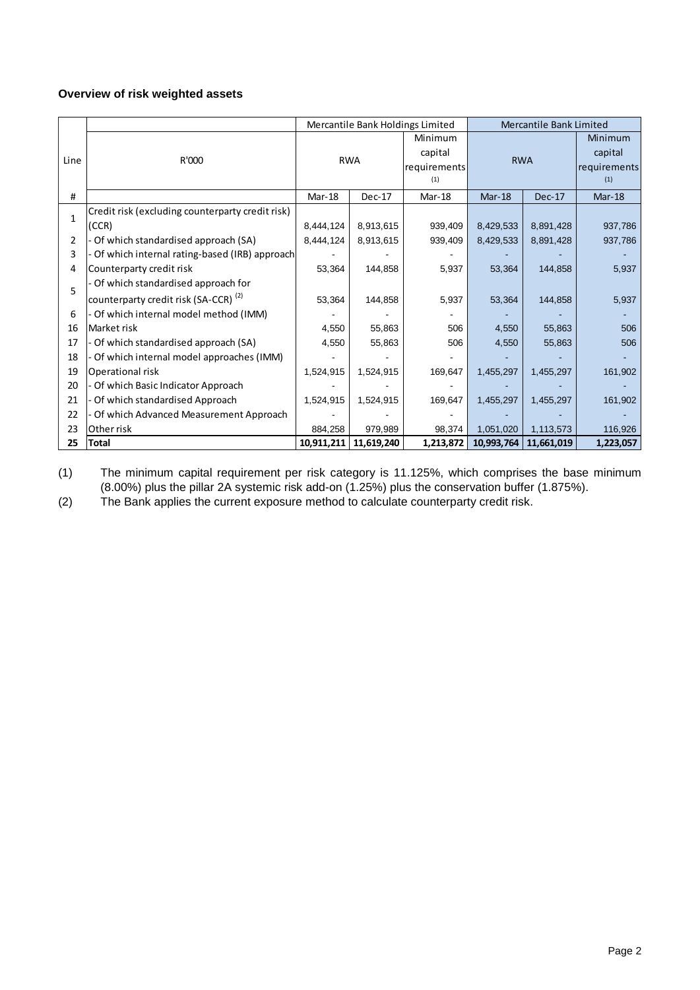# **Overview of risk weighted assets**

|                |                                                  | Mercantile Bank Limited<br>Mercantile Bank Holdings Limited |              |           |              |                         |                |
|----------------|--------------------------------------------------|-------------------------------------------------------------|--------------|-----------|--------------|-------------------------|----------------|
|                |                                                  |                                                             |              | Minimum   |              |                         | <b>Minimum</b> |
| Line           | R'000                                            | <b>RWA</b>                                                  |              | capital   | <b>RWA</b>   |                         | capital        |
|                |                                                  |                                                             | requirements |           | requirements |                         |                |
|                |                                                  | (1)                                                         |              | (1)       |              |                         |                |
| #              |                                                  | $Mar-18$                                                    | Dec-17       | $Mar-18$  | $Mar-18$     | $Dec-17$                | $Mar-18$       |
| $\mathbf{1}$   | Credit risk (excluding counterparty credit risk) |                                                             |              |           |              |                         |                |
|                | (CCR)                                            | 8,444,124                                                   | 8,913,615    | 939,409   | 8,429,533    | 8,891,428               | 937,786        |
| $\overline{2}$ | - Of which standardised approach (SA)            | 8,444,124                                                   | 8,913,615    | 939,409   | 8,429,533    | 8,891,428               | 937,786        |
| 3              | Of which internal rating-based (IRB) approach    |                                                             |              |           |              |                         |                |
| 4              | Counterparty credit risk                         | 53,364                                                      | 144,858      | 5,937     | 53,364       | 144,858                 | 5,937          |
| 5              | - Of which standardised approach for             |                                                             |              |           |              |                         |                |
|                | counterparty credit risk (SA-CCR) <sup>(2)</sup> | 53,364                                                      | 144,858      | 5,937     | 53,364       | 144,858                 | 5,937          |
| 6              | - Of which internal model method (IMM)           |                                                             |              |           |              |                         |                |
| 16             | Market risk                                      | 4,550                                                       | 55,863       | 506       | 4,550        | 55,863                  | 506            |
| 17             | Of which standardised approach (SA)              | 4,550                                                       | 55,863       | 506       | 4,550        | 55,863                  | 506            |
| 18             | - Of which internal model approaches (IMM)       |                                                             |              |           |              |                         |                |
| 19             | Operational risk                                 | 1,524,915                                                   | 1,524,915    | 169,647   | 1,455,297    | 1,455,297               | 161,902        |
| 20             | Of which Basic Indicator Approach                |                                                             |              |           |              |                         |                |
| 21             | Of which standardised Approach                   | 1,524,915                                                   | 1,524,915    | 169,647   | 1,455,297    | 1,455,297               | 161,902        |
| 22             | Of which Advanced Measurement Approach           |                                                             |              |           |              |                         |                |
| 23             | Other risk                                       | 884,258                                                     | 979,989      | 98,374    | 1,051,020    | 1,113,573               | 116,926        |
| 25             | <b>Total</b>                                     | 10,911,211                                                  | 11,619,240   | 1,213,872 |              | 10,993,764   11,661,019 | 1,223,057      |

(1) The minimum capital requirement per risk category is 11.125%, which comprises the base minimum (8.00%) plus the pillar 2A systemic risk add-on (1.25%) plus the conservation buffer (1.875%).

(2) The Bank applies the current exposure method to calculate counterparty credit risk.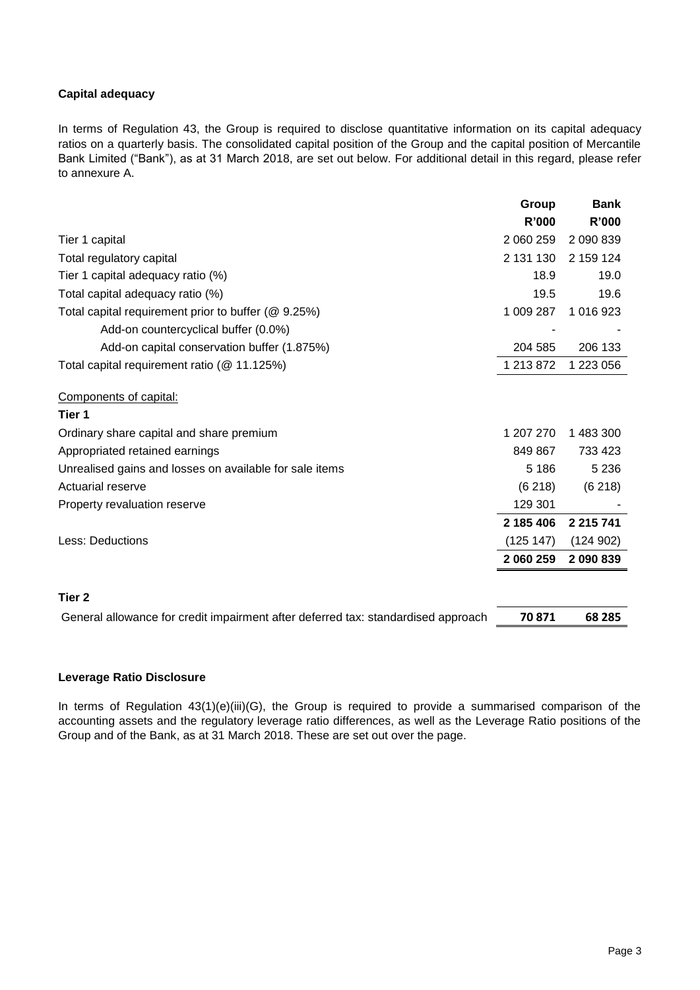# **Capital adequacy**

In terms of Regulation 43, the Group is required to disclose quantitative information on its capital adequacy ratios on a quarterly basis. The consolidated capital position of the Group and the capital position of Mercantile Bank Limited ("Bank"), as at 31 March 2018, are set out below. For additional detail in this regard, please refer to annexure A.

|                                                                                   | Group        | <b>Bank</b>   |
|-----------------------------------------------------------------------------------|--------------|---------------|
|                                                                                   | <b>R'000</b> | <b>R'000</b>  |
| Tier 1 capital                                                                    | 2 060 259    | 2 090 839     |
| Total regulatory capital                                                          | 2 131 130    | 2 159 124     |
| Tier 1 capital adequacy ratio (%)                                                 | 18.9         | 19.0          |
| Total capital adequacy ratio (%)                                                  | 19.5         | 19.6          |
| Total capital requirement prior to buffer (@ 9.25%)                               | 1 009 287    | 1 016 923     |
| Add-on countercyclical buffer (0.0%)                                              |              |               |
| Add-on capital conservation buffer (1.875%)                                       | 204 585      | 206 133       |
| Total capital requirement ratio (@ 11.125%)                                       | 1 213 872    | 1 223 056     |
| Components of capital:                                                            |              |               |
| Tier 1                                                                            |              |               |
| Ordinary share capital and share premium                                          | 1 207 270    | 1 483 300     |
| Appropriated retained earnings                                                    | 849 867      | 733 423       |
| Unrealised gains and losses on available for sale items                           | 5 1 8 6      | 5 2 3 6       |
| <b>Actuarial reserve</b>                                                          | (6218)       | (6218)        |
| Property revaluation reserve                                                      | 129 301      |               |
|                                                                                   | 2 185 406    | 2 2 1 5 7 4 1 |
| <b>Less: Deductions</b>                                                           | (125 147)    | (124902)      |
|                                                                                   | 2 060 259    | 2 090 839     |
| Tier <sub>2</sub>                                                                 |              |               |
| General allowance for credit impairment after deferred tax: standardised approach | 70871        | 68 285        |

# **Leverage Ratio Disclosure**

In terms of Regulation 43(1)(e)(iii)(G), the Group is required to provide a summarised comparison of the accounting assets and the regulatory leverage ratio differences, as well as the Leverage Ratio positions of the Group and of the Bank, as at 31 March 2018. These are set out over the page.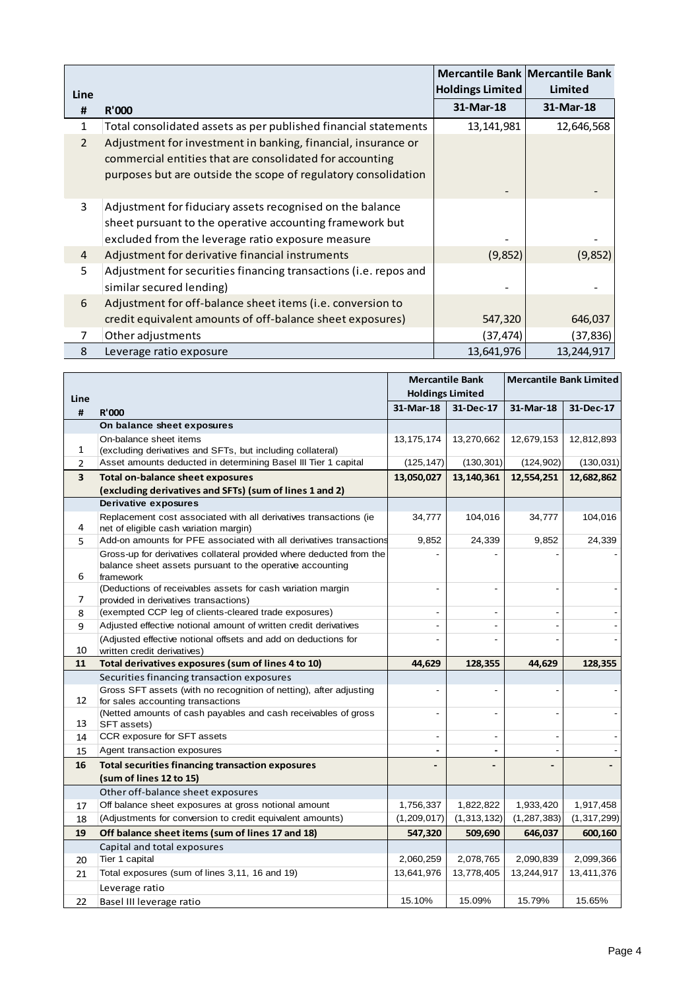|                |                                                                                                                                                                                             |                  | Mercantile Bank   Mercantile Bank |
|----------------|---------------------------------------------------------------------------------------------------------------------------------------------------------------------------------------------|------------------|-----------------------------------|
| Line           |                                                                                                                                                                                             | Holdings Limited | Limited                           |
| #              | <b>R'000</b>                                                                                                                                                                                | 31-Mar-18        | 31-Mar-18                         |
| 1              | Total consolidated assets as per published financial statements                                                                                                                             | 13, 141, 981     | 12,646,568                        |
| $\overline{2}$ | Adjustment for investment in banking, financial, insurance or<br>commercial entities that are consolidated for accounting<br>purposes but are outside the scope of regulatory consolidation |                  |                                   |
| 3              | Adjustment for fiduciary assets recognised on the balance<br>sheet pursuant to the operative accounting framework but<br>excluded from the leverage ratio exposure measure                  |                  |                                   |
| 4              | Adjustment for derivative financial instruments                                                                                                                                             | (9, 852)         | (9,852)                           |
| 5              | Adjustment for securities financing transactions (i.e. repos and<br>similar secured lending)                                                                                                |                  |                                   |
| 6              | Adjustment for off-balance sheet items (i.e. conversion to<br>credit equivalent amounts of off-balance sheet exposures)                                                                     | 547,320          | 646,037                           |
| 7              | Other adjustments                                                                                                                                                                           | (37,474)         | (37, 836)                         |
| 8              | Leverage ratio exposure                                                                                                                                                                     | 13,641,976       | 13,244,917                        |

|                |                                                                                                                                                | <b>Mercantile Bank</b><br><b>Holdings Limited</b> |                          |               | <b>Mercantile Bank Limited</b> |
|----------------|------------------------------------------------------------------------------------------------------------------------------------------------|---------------------------------------------------|--------------------------|---------------|--------------------------------|
| Line<br>#      | <b>R'000</b>                                                                                                                                   | 31-Mar-18                                         | 31-Dec-17                | 31-Mar-18     | 31-Dec-17                      |
|                | On balance sheet exposures                                                                                                                     |                                                   |                          |               |                                |
|                | On-balance sheet items                                                                                                                         | 13, 175, 174                                      | 13,270,662               | 12,679,153    | 12,812,893                     |
| 1              | (excluding derivatives and SFTs, but including collateral)                                                                                     |                                                   |                          |               |                                |
| $\overline{2}$ | Asset amounts deducted in determining Basel III Tier 1 capital                                                                                 | (125, 147)                                        | (130, 301)               | (124, 902)    | (130, 031)                     |
| 3              | <b>Total on-balance sheet exposures</b>                                                                                                        | 13,050,027                                        | 13,140,361               | 12,554,251    | 12,682,862                     |
|                | (excluding derivatives and SFTs) (sum of lines 1 and 2)                                                                                        |                                                   |                          |               |                                |
|                | <b>Derivative exposures</b>                                                                                                                    |                                                   |                          |               |                                |
| 4              | Replacement cost associated with all derivatives transactions (ie<br>net of eligible cash variation margin)                                    | 34,777                                            | 104,016                  | 34,777        | 104,016                        |
| 5              | Add-on amounts for PFE associated with all derivatives transactions                                                                            | 9,852                                             | 24,339                   | 9,852         | 24,339                         |
| 6              | Gross-up for derivatives collateral provided where deducted from the<br>balance sheet assets pursuant to the operative accounting<br>framework |                                                   |                          |               |                                |
| 7              | (Deductions of receivables assets for cash variation margin<br>provided in derivatives transactions)                                           | $\blacksquare$                                    | ÷.                       |               |                                |
| 8              | (exempted CCP leg of clients-cleared trade exposures)                                                                                          | $\blacksquare$                                    | $\overline{\phantom{a}}$ |               |                                |
| 9              | Adjusted effective notional amount of written credit derivatives                                                                               |                                                   |                          |               |                                |
|                | (Adjusted effective notional offsets and add on deductions for                                                                                 | $\overline{a}$                                    |                          |               |                                |
| 10             | written credit derivatives)                                                                                                                    |                                                   |                          |               |                                |
| 11             | Total derivatives exposures (sum of lines 4 to 10)                                                                                             | 44,629                                            | 128,355                  | 44,629        | 128,355                        |
|                | Securities financing transaction exposures                                                                                                     |                                                   |                          |               |                                |
|                | Gross SFT assets (with no recognition of netting), after adjusting                                                                             | $\overline{a}$                                    |                          |               |                                |
| 12             | for sales accounting transactions<br>(Netted amounts of cash payables and cash receivables of gross                                            | $\overline{\phantom{a}}$                          | $\overline{a}$           |               |                                |
| 13             | SFT assets)                                                                                                                                    |                                                   |                          |               |                                |
| 14             | CCR exposure for SFT assets                                                                                                                    | $\overline{\phantom{a}}$                          | ÷                        |               |                                |
| 15             | Agent transaction exposures                                                                                                                    | $\blacksquare$                                    |                          |               |                                |
| 16             | <b>Total securities financing transaction exposures</b>                                                                                        |                                                   |                          |               |                                |
|                | (sum of lines 12 to 15)                                                                                                                        |                                                   |                          |               |                                |
|                | Other off-balance sheet exposures                                                                                                              |                                                   |                          |               |                                |
| 17             | Off balance sheet exposures at gross notional amount                                                                                           | 1,756,337                                         | 1,822,822                | 1,933,420     | 1,917,458                      |
| 18             | (Adjustments for conversion to credit equivalent amounts)                                                                                      | (1,209,017)                                       | (1, 313, 132)            | (1, 287, 383) | (1, 317, 299)                  |
| 19             | Off balance sheet items (sum of lines 17 and 18)                                                                                               | 547,320                                           | 509,690                  | 646,037       | 600,160                        |
|                | Capital and total exposures                                                                                                                    |                                                   |                          |               |                                |
| 20             | Tier 1 capital                                                                                                                                 | 2,060,259                                         | 2,078,765                | 2,090,839     | 2,099,366                      |
| 21             | Total exposures (sum of lines 3,11, 16 and 19)                                                                                                 | 13,641,976                                        | 13,778,405               | 13,244,917    | 13,411,376                     |
|                | Leverage ratio                                                                                                                                 |                                                   |                          |               |                                |
| 22             | Basel III leverage ratio                                                                                                                       | 15.10%                                            | 15.09%                   | 15.79%        | 15.65%                         |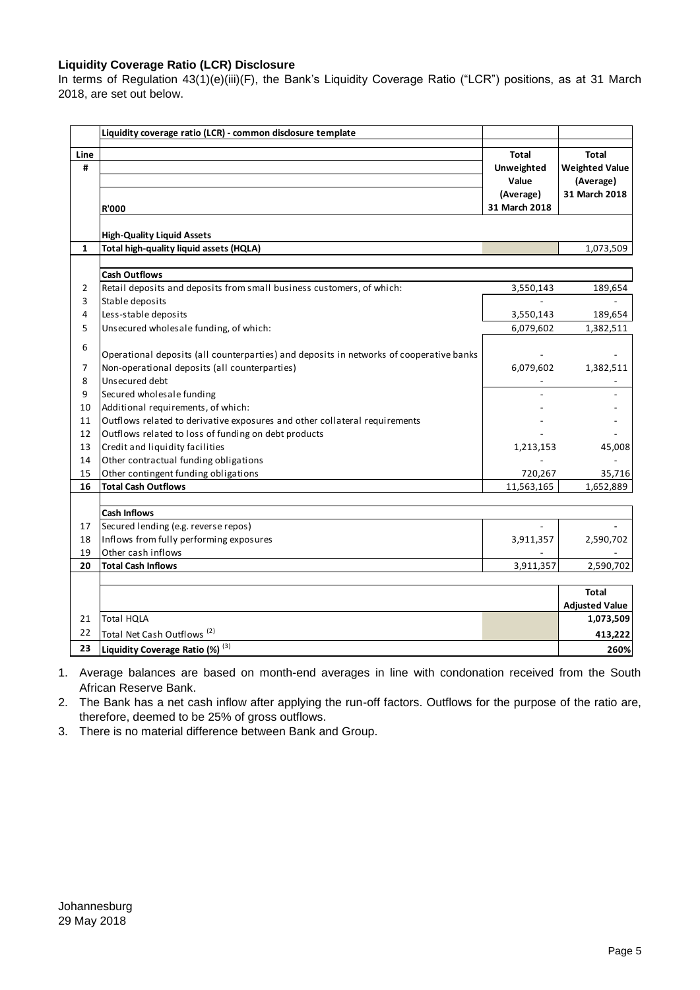## **Liquidity Coverage Ratio (LCR) Disclosure**

In terms of Regulation 43(1)(e)(iii)(F), the Bank's Liquidity Coverage Ratio ("LCR") positions, as at 31 March 2018, are set out below.

| <b>R'000</b><br><b>High-Quality Liquid Assets</b><br>Total high-quality liquid assets (HQLA)<br><b>Cash Outflows</b><br>Retail deposits and deposits from small business customers, of which:<br>Stable deposits<br>Less-stable deposits<br>Unsecured wholesale funding, of which:<br>Operational deposits (all counterparties) and deposits in networks of cooperative banks<br>Non-operational deposits (all counterparties) | <b>Total</b><br>Unweighted<br>Value<br>(Average)<br>31 March 2018<br>3,550,143<br>$\mathbf{r}$<br>3,550,143<br>6,079,602<br>6,079,602 | <b>Total</b><br><b>Weighted Value</b><br>(Average)<br>31 March 2018<br>1,073,509<br>189,654<br>189,654<br>1,382,511 |
|--------------------------------------------------------------------------------------------------------------------------------------------------------------------------------------------------------------------------------------------------------------------------------------------------------------------------------------------------------------------------------------------------------------------------------|---------------------------------------------------------------------------------------------------------------------------------------|---------------------------------------------------------------------------------------------------------------------|
|                                                                                                                                                                                                                                                                                                                                                                                                                                |                                                                                                                                       |                                                                                                                     |
|                                                                                                                                                                                                                                                                                                                                                                                                                                |                                                                                                                                       |                                                                                                                     |
|                                                                                                                                                                                                                                                                                                                                                                                                                                |                                                                                                                                       |                                                                                                                     |
|                                                                                                                                                                                                                                                                                                                                                                                                                                |                                                                                                                                       |                                                                                                                     |
|                                                                                                                                                                                                                                                                                                                                                                                                                                |                                                                                                                                       |                                                                                                                     |
|                                                                                                                                                                                                                                                                                                                                                                                                                                |                                                                                                                                       |                                                                                                                     |
|                                                                                                                                                                                                                                                                                                                                                                                                                                |                                                                                                                                       |                                                                                                                     |
|                                                                                                                                                                                                                                                                                                                                                                                                                                |                                                                                                                                       |                                                                                                                     |
|                                                                                                                                                                                                                                                                                                                                                                                                                                |                                                                                                                                       |                                                                                                                     |
|                                                                                                                                                                                                                                                                                                                                                                                                                                |                                                                                                                                       |                                                                                                                     |
|                                                                                                                                                                                                                                                                                                                                                                                                                                |                                                                                                                                       |                                                                                                                     |
|                                                                                                                                                                                                                                                                                                                                                                                                                                |                                                                                                                                       | 1,382,511                                                                                                           |
| Unsecured debt                                                                                                                                                                                                                                                                                                                                                                                                                 |                                                                                                                                       |                                                                                                                     |
| Secured wholesale funding                                                                                                                                                                                                                                                                                                                                                                                                      |                                                                                                                                       |                                                                                                                     |
| Additional requirements, of which:                                                                                                                                                                                                                                                                                                                                                                                             |                                                                                                                                       |                                                                                                                     |
| Outflows related to derivative exposures and other collateral requirements                                                                                                                                                                                                                                                                                                                                                     |                                                                                                                                       |                                                                                                                     |
| Outflows related to loss of funding on debt products                                                                                                                                                                                                                                                                                                                                                                           |                                                                                                                                       |                                                                                                                     |
| Credit and liquidity facilities                                                                                                                                                                                                                                                                                                                                                                                                | 1,213,153                                                                                                                             | 45,008                                                                                                              |
| Other contractual funding obligations                                                                                                                                                                                                                                                                                                                                                                                          |                                                                                                                                       |                                                                                                                     |
| Other contingent funding obligations                                                                                                                                                                                                                                                                                                                                                                                           | 720,267                                                                                                                               | 35,716                                                                                                              |
| <b>Total Cash Outflows</b>                                                                                                                                                                                                                                                                                                                                                                                                     | 11,563,165                                                                                                                            | 1,652,889                                                                                                           |
|                                                                                                                                                                                                                                                                                                                                                                                                                                |                                                                                                                                       |                                                                                                                     |
|                                                                                                                                                                                                                                                                                                                                                                                                                                |                                                                                                                                       |                                                                                                                     |
|                                                                                                                                                                                                                                                                                                                                                                                                                                |                                                                                                                                       | 2,590,702                                                                                                           |
|                                                                                                                                                                                                                                                                                                                                                                                                                                |                                                                                                                                       |                                                                                                                     |
| <b>Total Cash Inflows</b>                                                                                                                                                                                                                                                                                                                                                                                                      | 3,911,357                                                                                                                             | 2,590,702                                                                                                           |
|                                                                                                                                                                                                                                                                                                                                                                                                                                |                                                                                                                                       |                                                                                                                     |
|                                                                                                                                                                                                                                                                                                                                                                                                                                |                                                                                                                                       | <b>Total</b><br><b>Adjusted Value</b>                                                                               |
|                                                                                                                                                                                                                                                                                                                                                                                                                                |                                                                                                                                       | 1,073,509                                                                                                           |
| <b>Total HQLA</b>                                                                                                                                                                                                                                                                                                                                                                                                              |                                                                                                                                       | 413,222                                                                                                             |
|                                                                                                                                                                                                                                                                                                                                                                                                                                |                                                                                                                                       |                                                                                                                     |
|                                                                                                                                                                                                                                                                                                                                                                                                                                | <b>Cash Inflows</b><br>Secured lending (e.g. reverse repos)<br>Inflows from fully performing exposures<br>Other cash inflows          | 3,911,357<br>Total Net Cash Outflows <sup>(2)</sup>                                                                 |

1. Average balances are based on month-end averages in line with condonation received from the South African Reserve Bank.

2. The Bank has a net cash inflow after applying the run-off factors. Outflows for the purpose of the ratio are, therefore, deemed to be 25% of gross outflows.

3. There is no material difference between Bank and Group.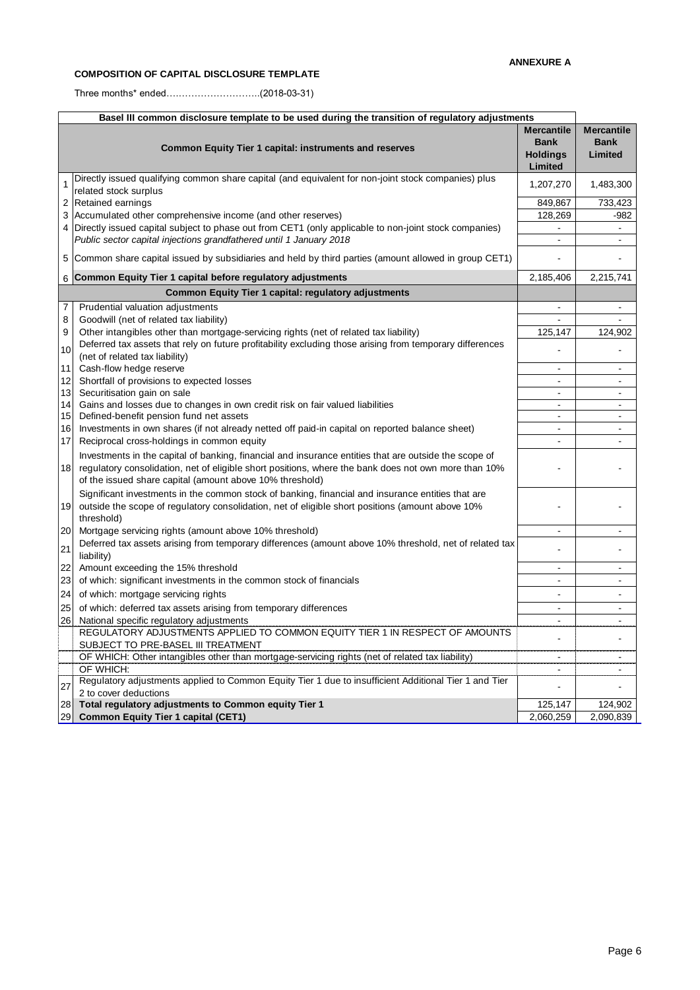#### **COMPOSITION OF CAPITAL DISCLOSURE TEMPLATE**

Three months\* ended….……………………..(2018-03-31)

| Basel III common disclosure template to be used during the transition of regulatory adjustments |                                                                                                                                                                                                                                                                           |                                                                |                                             |  |
|-------------------------------------------------------------------------------------------------|---------------------------------------------------------------------------------------------------------------------------------------------------------------------------------------------------------------------------------------------------------------------------|----------------------------------------------------------------|---------------------------------------------|--|
|                                                                                                 | <b>Common Equity Tier 1 capital: instruments and reserves</b>                                                                                                                                                                                                             | <b>Mercantile</b><br><b>Bank</b><br><b>Holdings</b><br>Limited | <b>Mercantile</b><br><b>Bank</b><br>Limited |  |
| 1                                                                                               | Directly issued qualifying common share capital (and equivalent for non-joint stock companies) plus<br>related stock surplus                                                                                                                                              | 1,207,270                                                      | 1,483,300                                   |  |
| 2                                                                                               | Retained earnings                                                                                                                                                                                                                                                         | 849,867                                                        | 733,423                                     |  |
| 3                                                                                               | Accumulated other comprehensive income (and other reserves)                                                                                                                                                                                                               | 128,269                                                        | $-982$                                      |  |
| 4                                                                                               | Directly issued capital subject to phase out from CET1 (only applicable to non-joint stock companies)                                                                                                                                                                     |                                                                | $\blacksquare$                              |  |
|                                                                                                 | Public sector capital injections grandfathered until 1 January 2018                                                                                                                                                                                                       | $\blacksquare$                                                 |                                             |  |
| 5                                                                                               | Common share capital issued by subsidiaries and held by third parties (amount allowed in group CET1)                                                                                                                                                                      |                                                                |                                             |  |
| 6                                                                                               | Common Equity Tier 1 capital before regulatory adjustments                                                                                                                                                                                                                | 2,185,406                                                      | 2,215,741                                   |  |
|                                                                                                 | <b>Common Equity Tier 1 capital: regulatory adjustments</b>                                                                                                                                                                                                               |                                                                |                                             |  |
| 7                                                                                               | Prudential valuation adjustments                                                                                                                                                                                                                                          |                                                                |                                             |  |
| 8                                                                                               | Goodwill (net of related tax liability)                                                                                                                                                                                                                                   | $\mathbf{r}$                                                   |                                             |  |
| 9                                                                                               | Other intangibles other than mortgage-servicing rights (net of related tax liability)                                                                                                                                                                                     | 125,147                                                        | 124,902                                     |  |
| 10                                                                                              | Deferred tax assets that rely on future profitability excluding those arising from temporary differences<br>(net of related tax liability)                                                                                                                                |                                                                |                                             |  |
| 11                                                                                              | Cash-flow hedge reserve                                                                                                                                                                                                                                                   | $\overline{\phantom{a}}$                                       | $\blacksquare$                              |  |
| 12                                                                                              | Shortfall of provisions to expected losses                                                                                                                                                                                                                                | $\overline{\phantom{a}}$                                       | $\blacksquare$                              |  |
| 13                                                                                              | Securitisation gain on sale                                                                                                                                                                                                                                               | $\sim$                                                         | $\sim$                                      |  |
| 14                                                                                              | Gains and losses due to changes in own credit risk on fair valued liabilities                                                                                                                                                                                             | $\blacksquare$                                                 | $\blacksquare$                              |  |
| 15<br>16                                                                                        | Defined-benefit pension fund net assets                                                                                                                                                                                                                                   | $\sim$<br>$\sim$                                               | $\blacksquare$                              |  |
| 17                                                                                              | Investments in own shares (if not already netted off paid-in capital on reported balance sheet)<br>Reciprocal cross-holdings in common equity                                                                                                                             | $\blacksquare$                                                 | $\blacksquare$<br>$\blacksquare$            |  |
|                                                                                                 |                                                                                                                                                                                                                                                                           |                                                                |                                             |  |
| 18                                                                                              | Investments in the capital of banking, financial and insurance entities that are outside the scope of<br>regulatory consolidation, net of eligible short positions, where the bank does not own more than 10%<br>of the issued share capital (amount above 10% threshold) |                                                                |                                             |  |
| 19                                                                                              | Significant investments in the common stock of banking, financial and insurance entities that are<br>outside the scope of regulatory consolidation, net of eligible short positions (amount above 10%<br>threshold)                                                       |                                                                |                                             |  |
| 20                                                                                              | Mortgage servicing rights (amount above 10% threshold)                                                                                                                                                                                                                    | $\sim$                                                         | $\blacksquare$                              |  |
| 21                                                                                              | Deferred tax assets arising from temporary differences (amount above 10% threshold, net of related tax<br>liability)                                                                                                                                                      |                                                                |                                             |  |
| 22                                                                                              | Amount exceeding the 15% threshold                                                                                                                                                                                                                                        | $\blacksquare$                                                 | $\blacksquare$                              |  |
| 23                                                                                              | of which: significant investments in the common stock of financials                                                                                                                                                                                                       | $\sim$                                                         | $\blacksquare$                              |  |
| 24                                                                                              | of which: mortgage servicing rights                                                                                                                                                                                                                                       | ÷,                                                             | $\blacksquare$                              |  |
| 25                                                                                              | of which: deferred tax assets arising from temporary differences                                                                                                                                                                                                          |                                                                |                                             |  |
| 26                                                                                              | National specific regulatory adjustments                                                                                                                                                                                                                                  | $\blacksquare$                                                 |                                             |  |
|                                                                                                 | REGULATORY ADJUSTMENTS APPLIED TO COMMON EQUITY TIER 1 IN RESPECT OF AMOUNTS<br>SUBJECT TO PRE-BASEL III TREATMENT                                                                                                                                                        |                                                                | $\overline{a}$                              |  |
|                                                                                                 | OF WHICH: Other intangibles other than mortgage-servicing rights (net of related tax liability)                                                                                                                                                                           |                                                                |                                             |  |
|                                                                                                 | OF WHICH:                                                                                                                                                                                                                                                                 |                                                                |                                             |  |
| 27                                                                                              | Regulatory adjustments applied to Common Equity Tier 1 due to insufficient Additional Tier 1 and Tier<br>2 to cover deductions                                                                                                                                            | $\blacksquare$                                                 | $\blacksquare$                              |  |
| 28                                                                                              | Total regulatory adjustments to Common equity Tier 1                                                                                                                                                                                                                      | 125,147                                                        | 124,902                                     |  |
| 29                                                                                              | <b>Common Equity Tier 1 capital (CET1)</b>                                                                                                                                                                                                                                | 2,060,259                                                      | 2,090,839                                   |  |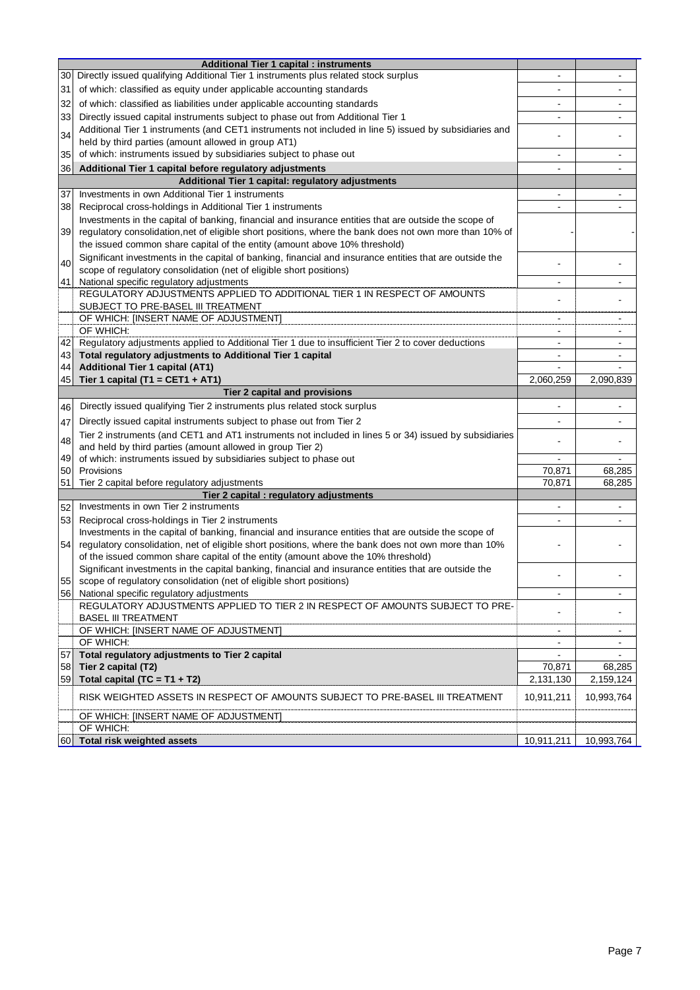|    | <b>Additional Tier 1 capital : instruments</b>                                                           |                |                |
|----|----------------------------------------------------------------------------------------------------------|----------------|----------------|
| 30 | Directly issued qualifying Additional Tier 1 instruments plus related stock surplus                      |                |                |
| 31 | of which: classified as equity under applicable accounting standards                                     |                |                |
| 32 | of which: classified as liabilities under applicable accounting standards                                | $\blacksquare$ | -              |
| 33 | Directly issued capital instruments subject to phase out from Additional Tier 1                          | $\overline{a}$ |                |
| 34 | Additional Tier 1 instruments (and CET1 instruments not included in line 5) issued by subsidiaries and   |                |                |
|    | held by third parties (amount allowed in group AT1)                                                      |                |                |
| 35 | of which: instruments issued by subsidiaries subject to phase out                                        | $\blacksquare$ | ۰              |
| 36 | Additional Tier 1 capital before regulatory adjustments                                                  | $\blacksquare$ | $\blacksquare$ |
|    | Additional Tier 1 capital: regulatory adjustments                                                        |                |                |
| 37 | Investments in own Additional Tier 1 instruments                                                         | $\blacksquare$ |                |
| 38 | Reciprocal cross-holdings in Additional Tier 1 instruments                                               |                |                |
|    | Investments in the capital of banking, financial and insurance entities that are outside the scope of    |                |                |
| 39 | regulatory consolidation, net of eligible short positions, where the bank does not own more than 10% of  |                |                |
|    | the issued common share capital of the entity (amount above 10% threshold)                               |                |                |
| 40 | Significant investments in the capital of banking, financial and insurance entities that are outside the |                |                |
|    | scope of regulatory consolidation (net of eligible short positions)                                      |                |                |
| 41 | National specific regulatory adjustments                                                                 | ۰              |                |
|    | REGULATORY ADJUSTMENTS APPLIED TO ADDITIONAL TIER 1 IN RESPECT OF AMOUNTS                                | $\blacksquare$ | ä,             |
|    | SUBJECT TO PRE-BASEL III TREATMENT                                                                       |                |                |
|    | OF WHICH: [INSERT NAME OF ADJUSTMENT]                                                                    | $\blacksquare$ | $\sim$         |
|    | OF WHICH:                                                                                                | ۰              | $\blacksquare$ |
| 42 | Regulatory adjustments applied to Additional Tier 1 due to insufficient Tier 2 to cover deductions       | $\blacksquare$ | ۰              |
| 43 | Total regulatory adjustments to Additional Tier 1 capital                                                | ۰              |                |
| 44 | <b>Additional Tier 1 capital (AT1)</b>                                                                   | ۰              |                |
| 45 | Tier 1 capital (T1 = CET1 + AT1)                                                                         | 2,060,259      | 2,090,839      |
|    | Tier 2 capital and provisions                                                                            |                |                |
| 46 | Directly issued qualifying Tier 2 instruments plus related stock surplus                                 | ä,             |                |
| 47 | Directly issued capital instruments subject to phase out from Tier 2                                     |                |                |
|    | Tier 2 instruments (and CET1 and AT1 instruments not included in lines 5 or 34) issued by subsidiaries   |                |                |
| 48 | and held by third parties (amount allowed in group Tier 2)                                               |                |                |
| 49 | of which: instruments issued by subsidiaries subject to phase out                                        | $\blacksquare$ |                |
| 50 | Provisions                                                                                               | 70,871         | 68,285         |
| 51 | Tier 2 capital before regulatory adjustments                                                             | 70,871         | 68,285         |
|    | Tier 2 capital : regulatory adjustments                                                                  |                |                |
| 52 | Investments in own Tier 2 instruments                                                                    |                |                |
| 53 | Reciprocal cross-holdings in Tier 2 instruments                                                          |                |                |
|    | Investments in the capital of banking, financial and insurance entities that are outside the scope of    |                |                |
| 54 | regulatory consolidation, net of eligible short positions, where the bank does not own more than 10%     |                |                |
|    | of the issued common share capital of the entity (amount above the 10% threshold)                        |                |                |
|    | Significant investments in the capital banking, financial and insurance entities that are outside the    |                |                |
| 55 | scope of regulatory consolidation (net of eligible short positions)                                      |                |                |
|    | 56 National specific regulatory adjustments                                                              | $\sim$         | $\blacksquare$ |
|    | REGULATORY ADJUSTMENTS APPLIED TO TIER 2 IN RESPECT OF AMOUNTS SUBJECT TO PRE-                           |                |                |
|    | <b>BASEL III TREATMENT</b>                                                                               |                |                |
|    | OF WHICH: [INSERT NAME OF ADJUSTMENT]                                                                    |                |                |
|    | OF WHICH:                                                                                                | $\blacksquare$ | $\sim$         |
| 57 | Total regulatory adjustments to Tier 2 capital                                                           |                |                |
| 58 | Tier 2 capital (T2)                                                                                      | 70,871         | 68,285         |
| 59 | Total capital (TC = $T1 + T2$ )                                                                          | 2,131,130      | 2,159,124      |
|    | RISK WEIGHTED ASSETS IN RESPECT OF AMOUNTS SUBJECT TO PRE-BASEL III TREATMENT                            | 10,911,211     | 10,993,764     |
|    | OF WHICH: [INSERT NAME OF ADJUSTMENT]                                                                    |                |                |
|    | OF WHICH:                                                                                                |                |                |
|    | 60 Total risk weighted assets                                                                            | 10,911,211     | 10,993,764     |